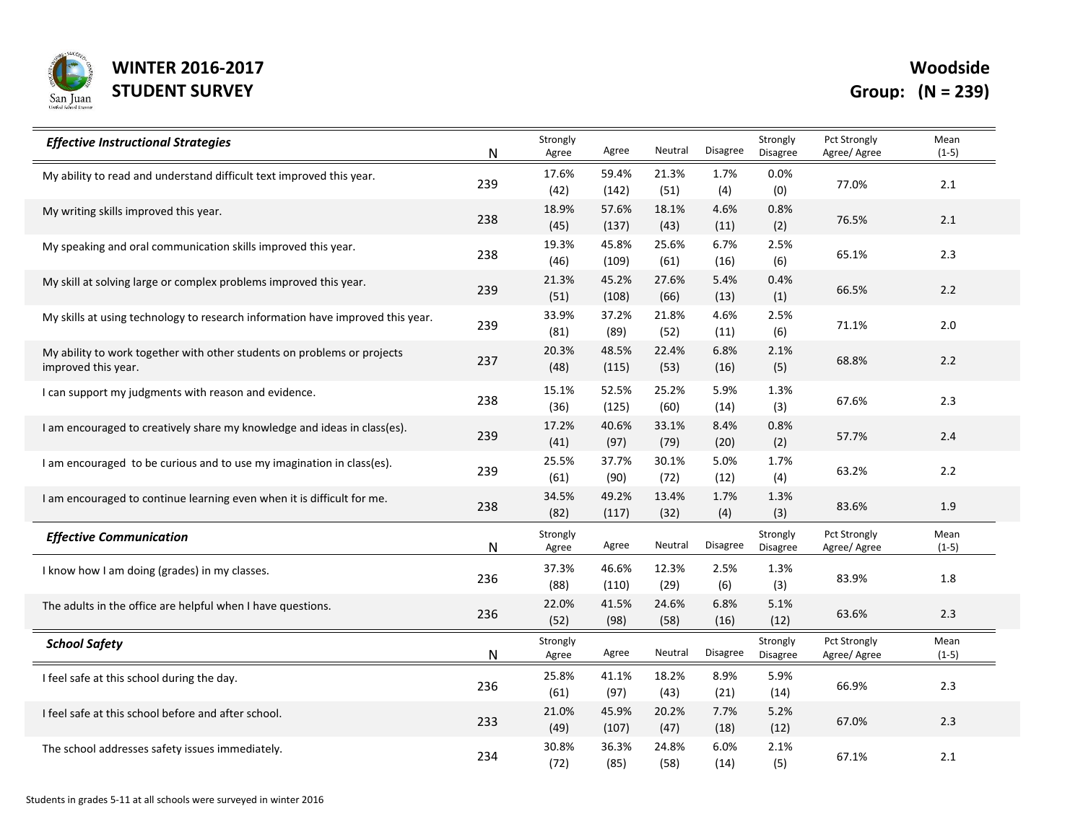

Woodside

| <b>Effective Instructional Strategies</b>                                                      | N   | Strongly<br>Agree | Agree          | Neutral       | <b>Disagree</b> | Strongly<br><b>Disagree</b> | Pct Strongly<br>Agree/ Agree        | Mean<br>$(1-5)$ |
|------------------------------------------------------------------------------------------------|-----|-------------------|----------------|---------------|-----------------|-----------------------------|-------------------------------------|-----------------|
| My ability to read and understand difficult text improved this year.                           | 239 | 17.6%<br>(42)     | 59.4%<br>(142) | 21.3%<br>(51) | 1.7%<br>(4)     | 0.0%<br>(0)                 | 77.0%                               | 2.1             |
| My writing skills improved this year.                                                          | 238 | 18.9%<br>(45)     | 57.6%<br>(137) | 18.1%<br>(43) | 4.6%<br>(11)    | 0.8%<br>(2)                 | 76.5%                               | 2.1             |
| My speaking and oral communication skills improved this year.                                  | 238 | 19.3%<br>(46)     | 45.8%<br>(109) | 25.6%<br>(61) | 6.7%<br>(16)    | 2.5%<br>(6)                 | 65.1%                               | 2.3             |
| My skill at solving large or complex problems improved this year.                              | 239 | 21.3%<br>(51)     | 45.2%<br>(108) | 27.6%<br>(66) | 5.4%<br>(13)    | 0.4%<br>(1)                 | 66.5%                               | 2.2             |
| My skills at using technology to research information have improved this year.                 | 239 | 33.9%<br>(81)     | 37.2%<br>(89)  | 21.8%<br>(52) | 4.6%<br>(11)    | 2.5%<br>(6)                 | 71.1%                               | $2.0\,$         |
| My ability to work together with other students on problems or projects<br>improved this year. | 237 | 20.3%<br>(48)     | 48.5%<br>(115) | 22.4%<br>(53) | 6.8%<br>(16)    | 2.1%<br>(5)                 | 68.8%                               | 2.2             |
| I can support my judgments with reason and evidence.                                           | 238 | 15.1%<br>(36)     | 52.5%<br>(125) | 25.2%<br>(60) | 5.9%<br>(14)    | 1.3%<br>(3)                 | 67.6%                               | 2.3             |
| I am encouraged to creatively share my knowledge and ideas in class(es).                       | 239 | 17.2%<br>(41)     | 40.6%<br>(97)  | 33.1%<br>(79) | 8.4%<br>(20)    | 0.8%<br>(2)                 | 57.7%                               | 2.4             |
| I am encouraged to be curious and to use my imagination in class(es).                          | 239 | 25.5%<br>(61)     | 37.7%<br>(90)  | 30.1%<br>(72) | 5.0%<br>(12)    | 1.7%<br>(4)                 | 63.2%                               | 2.2             |
| I am encouraged to continue learning even when it is difficult for me.                         | 238 | 34.5%<br>(82)     | 49.2%<br>(117) | 13.4%<br>(32) | 1.7%<br>(4)     | 1.3%<br>(3)                 | 83.6%                               | 1.9             |
| <b>Effective Communication</b>                                                                 | N   | Strongly<br>Agree | Agree          | Neutral       | <b>Disagree</b> | Strongly<br><b>Disagree</b> | <b>Pct Strongly</b><br>Agree/ Agree | Mean<br>$(1-5)$ |
| I know how I am doing (grades) in my classes.                                                  | 236 | 37.3%<br>(88)     | 46.6%<br>(110) | 12.3%<br>(29) | 2.5%<br>(6)     | 1.3%<br>(3)                 | 83.9%                               | 1.8             |
| The adults in the office are helpful when I have questions.                                    | 236 | 22.0%<br>(52)     | 41.5%<br>(98)  | 24.6%<br>(58) | 6.8%<br>(16)    | 5.1%<br>(12)                | 63.6%                               | $2.3$           |
| <b>School Safety</b>                                                                           | N   | Strongly<br>Agree | Agree          | Neutral       | Disagree        | Strongly<br><b>Disagree</b> | Pct Strongly<br>Agree/ Agree        | Mean<br>$(1-5)$ |
| I feel safe at this school during the day.                                                     | 236 | 25.8%<br>(61)     | 41.1%<br>(97)  | 18.2%<br>(43) | 8.9%<br>(21)    | 5.9%<br>(14)                | 66.9%                               | 2.3             |
| I feel safe at this school before and after school.                                            | 233 | 21.0%<br>(49)     | 45.9%<br>(107) | 20.2%<br>(47) | 7.7%<br>(18)    | 5.2%<br>(12)                | 67.0%                               | 2.3             |
| The school addresses safety issues immediately.                                                | 234 | 30.8%<br>(72)     | 36.3%<br>(85)  | 24.8%<br>(58) | 6.0%<br>(14)    | 2.1%<br>(5)                 | 67.1%                               | 2.1             |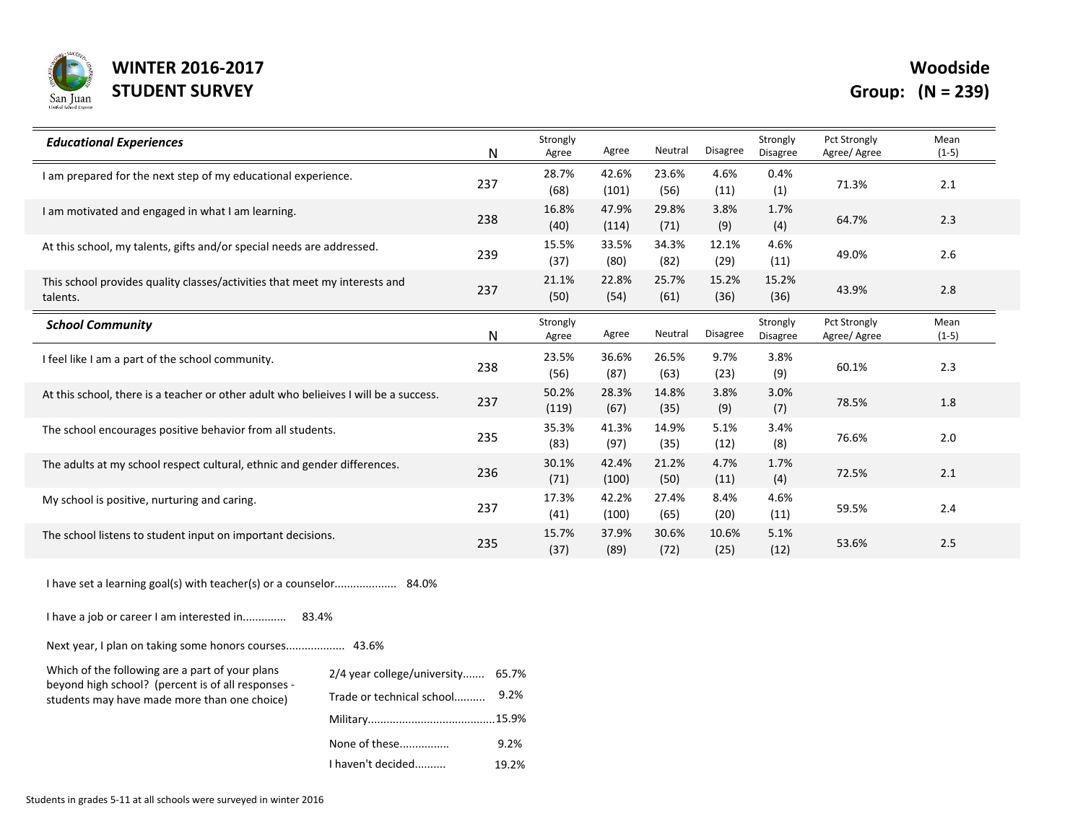

Woodside

| <b>Educational Experiences</b>                                                         | N   | Strongly<br>Agree | Agree          | Neutral       | <b>Disagree</b> | Strongly<br><b>Disagree</b> | <b>Pct Strongly</b><br>Agree/Agree | Mean<br>$(1-5)$ |
|----------------------------------------------------------------------------------------|-----|-------------------|----------------|---------------|-----------------|-----------------------------|------------------------------------|-----------------|
| I am prepared for the next step of my educational experience.                          | 237 | 28.7%<br>(68)     | 42.6%<br>(101) | 23.6%<br>(56) | 4.6%<br>(11)    | 0.4%<br>(1)                 | 71.3%                              | 2.1             |
| I am motivated and engaged in what I am learning.                                      | 238 | 16.8%<br>(40)     | 47.9%<br>(114) | 29.8%<br>(71) | 3.8%<br>(9)     | 1.7%<br>(4)                 | 64.7%                              | 2.3             |
| At this school, my talents, gifts and/or special needs are addressed.                  | 239 | 15.5%<br>(37)     | 33.5%<br>(80)  | 34.3%<br>(82) | 12.1%<br>(29)   | 4.6%<br>(11)                | 49.0%                              | 2.6             |
| This school provides quality classes/activities that meet my interests and<br>talents. | 237 | 21.1%<br>(50)     | 22.8%<br>(54)  | 25.7%<br>(61) | 15.2%<br>(36)   | 15.2%<br>(36)               | 43.9%                              | 2.8             |
| <b>School Community</b>                                                                | N   | Strongly<br>Agree | Agree          | Neutral       | Disagree        | Strongly<br><b>Disagree</b> | <b>Pct Strongly</b><br>Agree/Agree | Mean<br>$(1-5)$ |
| I feel like I am a part of the school community.                                       | 238 | 23.5%<br>(56)     | 36.6%<br>(87)  | 26.5%<br>(63) | 9.7%<br>(23)    | 3.8%<br>(9)                 | 60.1%                              | 2.3             |
| At this school, there is a teacher or other adult who belieives I will be a success.   | 237 | 50.2%<br>(119)    | 28.3%<br>(67)  | 14.8%<br>(35) | 3.8%<br>(9)     | 3.0%<br>(7)                 | 78.5%                              | 1.8             |
| The school encourages positive behavior from all students.                             | 235 | 35.3%<br>(83)     | 41.3%<br>(97)  | 14.9%<br>(35) | 5.1%<br>(12)    | 3.4%<br>(8)                 | 76.6%                              | 2.0             |
| The adults at my school respect cultural, ethnic and gender differences.               | 236 | 30.1%<br>(71)     | 42.4%<br>(100) | 21.2%<br>(50) | 4.7%<br>(11)    | 1.7%<br>(4)                 | 72.5%                              | 2.1             |
| My school is positive, nurturing and caring.                                           | 237 | 17.3%<br>(41)     | 42.2%<br>(100) | 27.4%<br>(65) | 8.4%<br>(20)    | 4.6%<br>(11)                | 59.5%                              | 2.4             |
| The school listens to student input on important decisions.                            | 235 | 15.7%<br>(37)     | 37.9%<br>(89)  | 30.6%<br>(72) | 10.6%<br>(25)   | 5.1%<br>(12)                | 53.6%                              | 2.5             |

19.2%

I have set a learning goal(s) with teacher(s) or a counselor.................... 84.0%

I have a job or career I am interested in.............. 83.4%

Next year, I plan on taking some honors courses................... 43.6%

| Which of the following are a part of your plans                                                    | 2/4 year college/university 65.7% |      |
|----------------------------------------------------------------------------------------------------|-----------------------------------|------|
| beyond high school? (percent is of all responses -<br>students may have made more than one choice) | Trade or technical school         | 9.2% |
|                                                                                                    |                                   |      |
|                                                                                                    | None of these                     | 9.2% |

I haven't decided..........